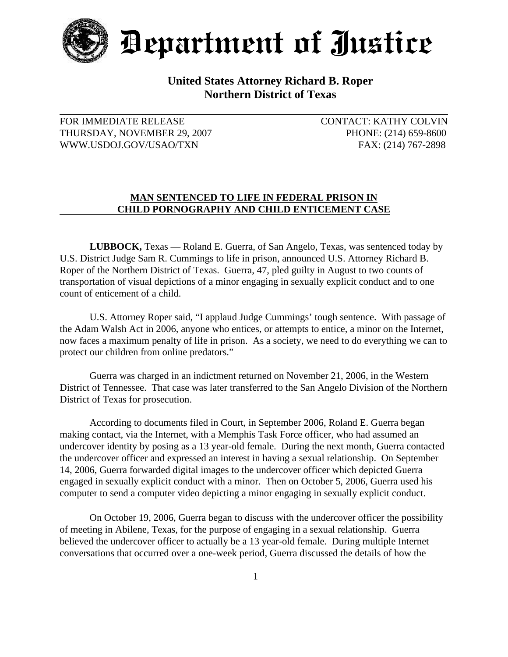

Department of Justice

## **United States Attorney Richard B. Roper Northern District of Texas**

## THURSDAY, NOVEMBER 29, 2007 PHONE: (214) 659-8600 WWW.USDOJ.GOV/USAO/TXN FAX: (214) 767-2898

FOR IMMEDIATE RELEASE CONTACT: KATHY COLVIN

## **MAN SENTENCED TO LIFE IN FEDERAL PRISON IN CHILD PORNOGRAPHY AND CHILD ENTICEMENT CASE**

**LUBBOCK,** Texas — Roland E. Guerra, of San Angelo, Texas, was sentenced today by U.S. District Judge Sam R. Cummings to life in prison, announced U.S. Attorney Richard B. Roper of the Northern District of Texas. Guerra, 47, pled guilty in August to two counts of transportation of visual depictions of a minor engaging in sexually explicit conduct and to one count of enticement of a child.

U.S. Attorney Roper said, "I applaud Judge Cummings' tough sentence. With passage of the Adam Walsh Act in 2006, anyone who entices, or attempts to entice, a minor on the Internet, now faces a maximum penalty of life in prison. As a society, we need to do everything we can to protect our children from online predators."

Guerra was charged in an indictment returned on November 21, 2006, in the Western District of Tennessee. That case was later transferred to the San Angelo Division of the Northern District of Texas for prosecution.

According to documents filed in Court, in September 2006, Roland E. Guerra began making contact, via the Internet, with a Memphis Task Force officer, who had assumed an undercover identity by posing as a 13 year-old female. During the next month, Guerra contacted the undercover officer and expressed an interest in having a sexual relationship. On September 14, 2006, Guerra forwarded digital images to the undercover officer which depicted Guerra engaged in sexually explicit conduct with a minor. Then on October 5, 2006, Guerra used his computer to send a computer video depicting a minor engaging in sexually explicit conduct.

On October 19, 2006, Guerra began to discuss with the undercover officer the possibility of meeting in Abilene, Texas, for the purpose of engaging in a sexual relationship. Guerra believed the undercover officer to actually be a 13 year-old female. During multiple Internet conversations that occurred over a one-week period, Guerra discussed the details of how the